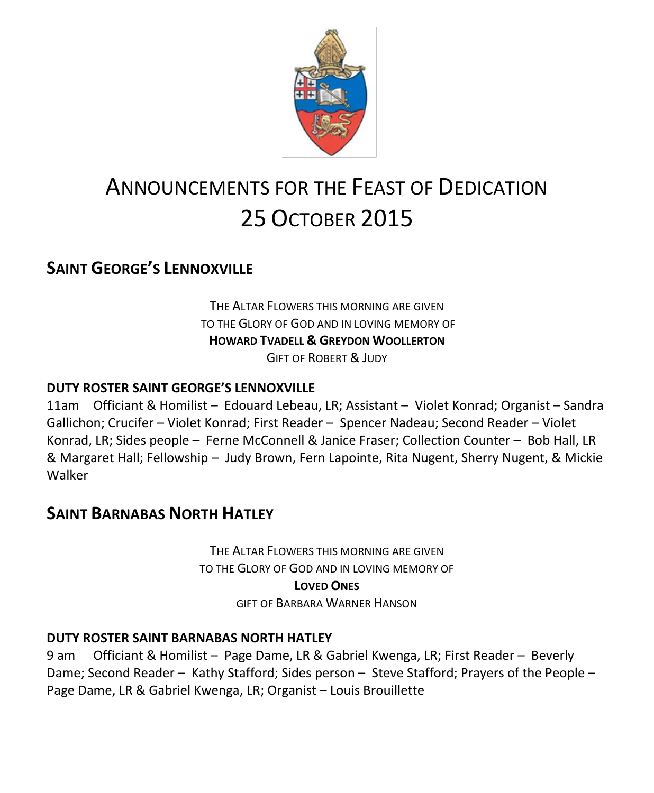

# ANNOUNCEMENTS FOR THE FEAST OF DEDICATION 25 OCTOBER 2015

### **SAINT GEORGE'S LENNOXVILLE**

THE ALTAR FLOWERS THIS MORNING ARE GIVEN TO THE GLORY OF GOD AND IN LOVING MEMORY OF **HOWARD TVADELL & GREYDON WOOLLERTON** GIFT OF ROBERT & JUDY

### **DUTY ROSTER SAINT GEORGE'S LENNOXVILLE**

11am Officiant & Homilist – Edouard Lebeau, LR; Assistant – Violet Konrad; Organist – Sandra Gallichon; Crucifer – Violet Konrad; First Reader – Spencer Nadeau; Second Reader – Violet Konrad, LR; Sides people – Ferne McConnell & Janice Fraser; Collection Counter – Bob Hall, LR & Margaret Hall; Fellowship – Judy Brown, Fern Lapointe, Rita Nugent, Sherry Nugent, & Mickie Walker

### **SAINT BARNABAS NORTH HATLEY**

THE ALTAR FLOWERS THIS MORNING ARE GIVEN TO THE GLORY OF GOD AND IN LOVING MEMORY OF **LOVED ONES** GIFT OF BARBARA WARNER HANSON

#### **DUTY ROSTER SAINT BARNABAS NORTH HATLEY**

9 am Officiant & Homilist – Page Dame, LR & Gabriel Kwenga, LR; First Reader – Beverly Dame; Second Reader – Kathy Stafford; Sides person – Steve Stafford; Prayers of the People – Page Dame, LR & Gabriel Kwenga, LR; Organist – Louis Brouillette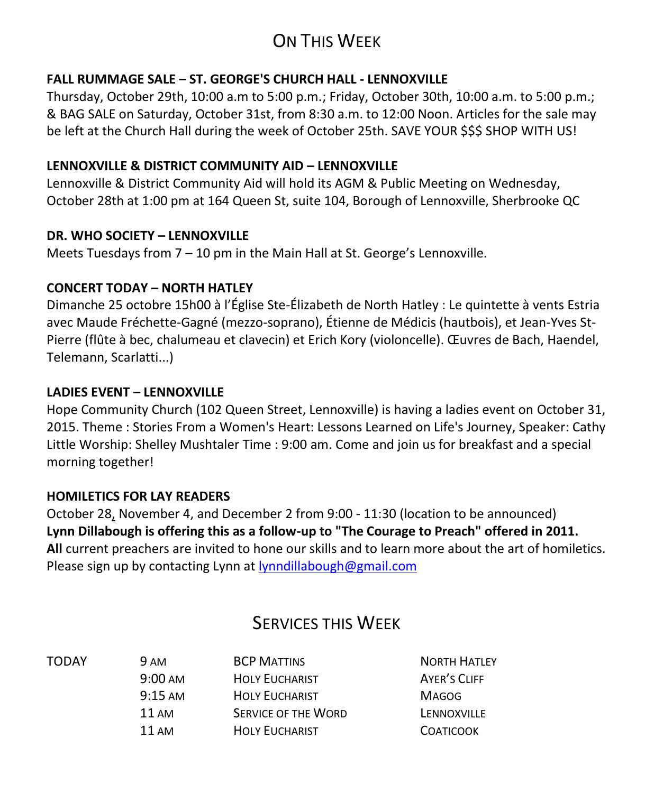# ON THIS WEEK

### **FALL RUMMAGE SALE – ST. GEORGE'S CHURCH HALL - LENNOXVILLE**

Thursday, October 29th, 10:00 a.m to 5:00 p.m.; Friday, October 30th, 10:00 a.m. to 5:00 p.m.; & BAG SALE on Saturday, October 31st, from 8:30 a.m. to 12:00 Noon. Articles for the sale may be left at the Church Hall during the week of October 25th. SAVE YOUR \$\$\$ SHOP WITH US!

### **LENNOXVILLE & DISTRICT COMMUNITY AID – LENNOXVILLE**

Lennoxville & District Community Aid will hold its AGM & Public Meeting on Wednesday, October 28th at 1:00 pm at 164 Queen St, suite 104, Borough of Lennoxville, Sherbrooke QC

### **DR. WHO SOCIETY – LENNOXVILLE**

Meets Tuesdays from 7 – 10 pm in the Main Hall at St. George's Lennoxville.

### **CONCERT TODAY – NORTH HATLEY**

Dimanche 25 octobre 15h00 à l'Église Ste-Élizabeth de North Hatley : Le quintette à vents Estria avec Maude Fréchette-Gagné (mezzo-soprano), Étienne de Médicis (hautbois), et Jean-Yves St-Pierre (flûte à bec, chalumeau et clavecin) et Erich Kory (violoncelle). Œuvres de Bach, Haendel, Telemann, Scarlatti...)

### **LADIES EVENT – LENNOXVILLE**

Hope Community Church (102 Queen Street, Lennoxville) is having a ladies event on October 31, 2015. Theme : Stories From a Women's Heart: Lessons Learned on Life's Journey, Speaker: Cathy Little Worship: Shelley Mushtaler Time : 9:00 am. Come and join us for breakfast and a special morning together!

### **HOMILETICS FOR LAY READERS**

October 28, November 4, and December 2 from 9:00 - 11:30 (location to be announced) **Lynn Dillabough is offering this as a follow-up to "The Courage to Preach" offered in 2011. All** current preachers are invited to hone our skills and to learn more about the art of homiletics. Please sign up by contacting Lynn at [lynndillabough@gmail.com](https://webmail.ubishops.ca/owa/redir.aspx?SURL=nksXqGp85F_Dom4r3JsslLbkidVbmkiX7It9Wrxex6QiuuBWxdTSCG0AYQBpAGwAdABvADoAbAB5AG4AbgBkAGkAbABsAGEAYgBvAHUAZwBoAEAAZwBtAGEAaQBsAC4AYwBvAG0A&URL=mailto%3alynndillabough%40gmail.com)

### SERVICES THIS WEEK

| TODAY | <b>9 AM</b>       | <b>BCP MATTINS</b>         | <b>NORTH HATLEY</b> |
|-------|-------------------|----------------------------|---------------------|
|       | $9:00 \text{ AM}$ | <b>HOLY EUCHARIST</b>      | <b>AYER'S CLIFF</b> |
|       | $9:15 \text{ AM}$ | <b>HOLY EUCHARIST</b>      | <b>MAGOG</b>        |
|       | 11 AM             | <b>SERVICE OF THE WORD</b> | LENNOXVILLE         |
|       | 11 AM             | <b>HOLY EUCHARIST</b>      | <b>COATICOOK</b>    |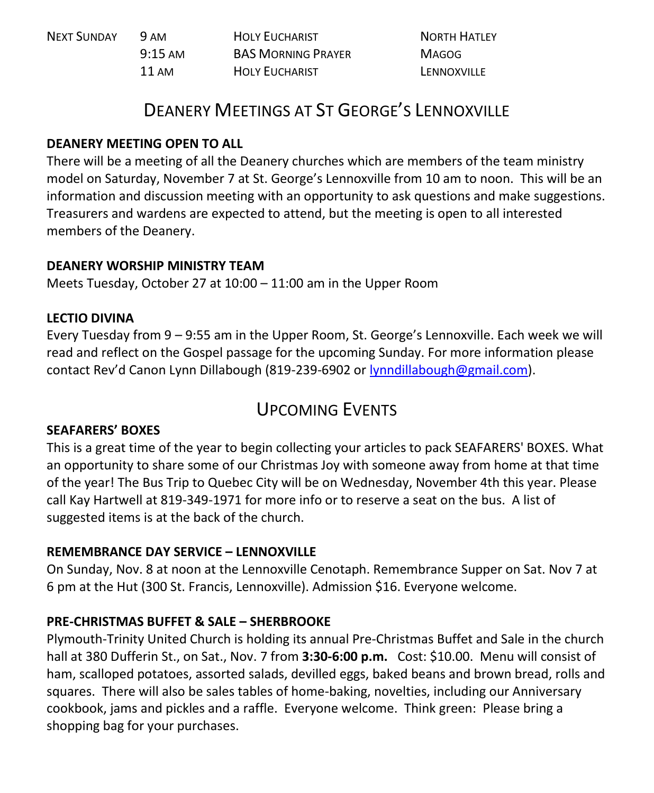| NEXT SUNDAY | 9 AM              | <b>HOLY EUCHARIST</b>     | <b>NORTH HATLEY</b> |
|-------------|-------------------|---------------------------|---------------------|
|             | $9:15 \text{ AM}$ | <b>BAS MORNING PRAYER</b> | MAGOG               |
|             | 11 AM             | <b>HOLY EUCHARIST</b>     | LENNOXVILLE         |

### DEANERY MEETINGS AT ST GEORGE'S LENNOXVILLE

### **DEANERY MEETING OPEN TO ALL**

There will be a meeting of all the Deanery churches which are members of the team ministry model on Saturday, November 7 at St. George's Lennoxville from 10 am to noon. This will be an information and discussion meeting with an opportunity to ask questions and make suggestions. Treasurers and wardens are expected to attend, but the meeting is open to all interested members of the Deanery.

### **DEANERY WORSHIP MINISTRY TEAM**

Meets Tuesday, October 27 at 10:00 – 11:00 am in the Upper Room

### **LECTIO DIVINA**

Every Tuesday from 9 – 9:55 am in the Upper Room, St. George's Lennoxville. Each week we will read and reflect on the Gospel passage for the upcoming Sunday. For more information please contact Rev'd Canon Lynn Dillabough (819-239-6902 or [lynndillabough@gmail.com\)](mailto:lynndillabough@gmail.com).

## UPCOMING EVENTS

### **SEAFARERS' BOXES**

This is a great time of the year to begin collecting your articles to pack SEAFARERS' BOXES. What an opportunity to share some of our Christmas Joy with someone away from home at that time of the year! The Bus Trip to Quebec City will be on Wednesday, November 4th this year. Please call Kay Hartwell at 819-349-1971 for more info or to reserve a seat on the bus. A list of suggested items is at the back of the church.

### **REMEMBRANCE DAY SERVICE – LENNOXVILLE**

On Sunday, Nov. 8 at noon at the Lennoxville Cenotaph. Remembrance Supper on Sat. Nov 7 at 6 pm at the Hut (300 St. Francis, Lennoxville). Admission \$16. Everyone welcome.

### **PRE-CHRISTMAS BUFFET & SALE – SHERBROOKE**

Plymouth-Trinity United Church is holding its annual Pre-Christmas Buffet and Sale in the church hall at 380 Dufferin St., on Sat., Nov. 7 from **3:30-6:00 p.m.** Cost: \$10.00. Menu will consist of ham, scalloped potatoes, assorted salads, devilled eggs, baked beans and brown bread, rolls and squares. There will also be sales tables of home-baking, novelties, including our Anniversary cookbook, jams and pickles and a raffle. Everyone welcome. Think green: Please bring a shopping bag for your purchases.